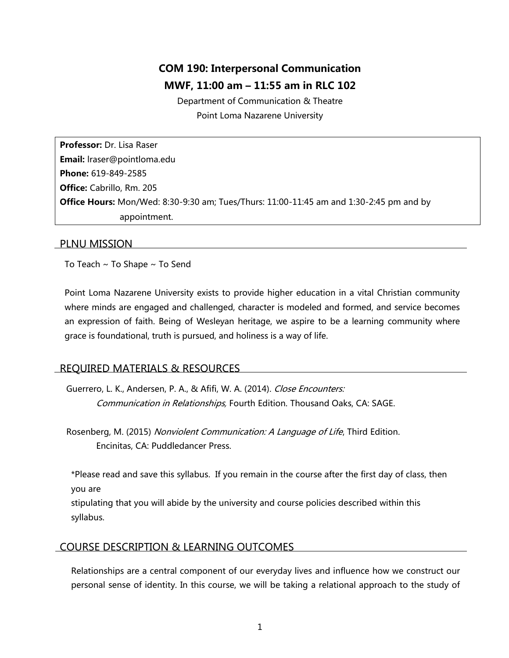# **COM 190: Interpersonal Communication MWF, 11:00 am – 11:55 am in RLC 102**

Department of Communication & Theatre Point Loma Nazarene University

**Professor:** Dr. Lisa Raser **Email:** lraser@pointloma.edu **Phone:** 619-849-2585 **Office:** Cabrillo, Rm. 205 **Office Hours:** Mon/Wed: 8:30-9:30 am; Tues/Thurs: 11:00-11:45 am and 1:30-2:45 pm and by appointment.

## PLNU MISSION

To Teach ~ To Shape ~ To Send

Point Loma Nazarene University exists to provide higher education in a vital Christian community where minds are engaged and challenged, character is modeled and formed, and service becomes an expression of faith. Being of Wesleyan heritage, we aspire to be a learning community where grace is foundational, truth is pursued, and holiness is a way of life.

## REQUIRED MATERIALS & RESOURCES

Guerrero, L. K., Andersen, P. A., & Afifi, W. A. (2014). Close Encounters: Communication in Relationships, Fourth Edition. Thousand Oaks, CA: SAGE.

Rosenberg, M. (2015) Nonviolent Communication: A Language of Life, Third Edition. Encinitas, CA: Puddledancer Press.

\*Please read and save this syllabus. If you remain in the course after the first day of class, then you are

stipulating that you will abide by the university and course policies described within this syllabus.

# COURSE DESCRIPTION & LEARNING OUTCOMES

Relationships are a central component of our everyday lives and influence how we construct our personal sense of identity. In this course, we will be taking a relational approach to the study of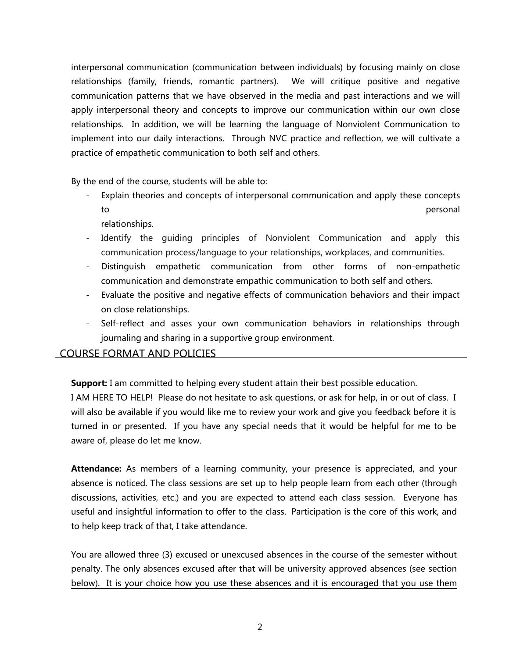interpersonal communication (communication between individuals) by focusing mainly on close relationships (family, friends, romantic partners). We will critique positive and negative communication patterns that we have observed in the media and past interactions and we will apply interpersonal theory and concepts to improve our communication within our own close relationships. In addition, we will be learning the language of Nonviolent Communication to implement into our daily interactions. Through NVC practice and reflection, we will cultivate a practice of empathetic communication to both self and others.

By the end of the course, students will be able to:

Explain theories and concepts of interpersonal communication and apply these concepts to personal

relationships.

- Identify the quiding principles of Nonviolent Communication and apply this communication process/language to your relationships, workplaces, and communities.
- Distinguish empathetic communication from other forms of non-empathetic communication and demonstrate empathic communication to both self and others.
- Evaluate the positive and negative effects of communication behaviors and their impact on close relationships.
- Self-reflect and asses your own communication behaviors in relationships through journaling and sharing in a supportive group environment.

# COURSE FORMAT AND POLICIES

**Support:** I am committed to helping every student attain their best possible education.

I AM HERE TO HELP! Please do not hesitate to ask questions, or ask for help, in or out of class. I will also be available if you would like me to review your work and give you feedback before it is turned in or presented. If you have any special needs that it would be helpful for me to be aware of, please do let me know.

**Attendance:** As members of a learning community, your presence is appreciated, and your absence is noticed. The class sessions are set up to help people learn from each other (through discussions, activities, etc.) and you are expected to attend each class session. Everyone has useful and insightful information to offer to the class. Participation is the core of this work, and to help keep track of that, I take attendance.

You are allowed three (3) excused or unexcused absences in the course of the semester without penalty. The only absences excused after that will be university approved absences (see section below). It is your choice how you use these absences and it is encouraged that you use them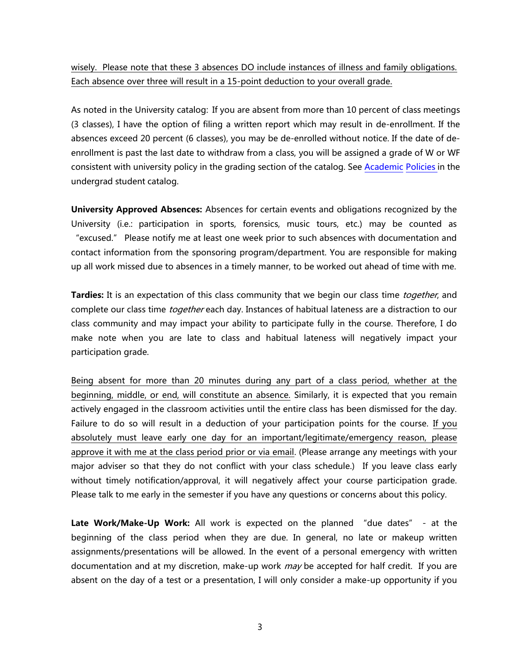wisely. Please note that these 3 absences DO include instances of illness and family obligations. Each absence over three will result in a 15-point deduction to your overall grade.

As noted in the University catalog: If you are absent from more than 10 percent of class meetings (3 classes), I have the option of filing a written report which may result in de-enrollment. If the absences exceed 20 percent (6 classes), you may be de-enrolled without notice. If the date of deenrollment is past the last date to withdraw from a class, you will be assigned a grade of W or WF consistent with university policy in the grading section of the catalog. See [Academic](http://www.pointloma.edu/experience/academics/catalogs/undergraduate-catalog/point-loma-education/academic-policies) [Policies](http://www.pointloma.edu/experience/academics/catalogs/undergraduate-catalog/point-loma-education/academic-policies) in the undergrad student catalog.

**University Approved Absences:** Absences for certain events and obligations recognized by the University (i.e.: participation in sports, forensics, music tours, etc.) may be counted as "excused." Please notify me at least one week prior to such absences with documentation and contact information from the sponsoring program/department. You are responsible for making up all work missed due to absences in a timely manner, to be worked out ahead of time with me.

**Tardies:** It is an expectation of this class community that we begin our class time together, and complete our class time *together* each day. Instances of habitual lateness are a distraction to our class community and may impact your ability to participate fully in the course. Therefore, I do make note when you are late to class and habitual lateness will negatively impact your participation grade.

Being absent for more than 20 minutes during any part of a class period, whether at the beginning, middle, or end, will constitute an absence. Similarly, it is expected that you remain actively engaged in the classroom activities until the entire class has been dismissed for the day. Failure to do so will result in a deduction of your participation points for the course. If you absolutely must leave early one day for an important/legitimate/emergency reason, please approve it with me at the class period prior or via email. (Please arrange any meetings with your major adviser so that they do not conflict with your class schedule.) If you leave class early without timely notification/approval, it will negatively affect your course participation grade. Please talk to me early in the semester if you have any questions or concerns about this policy.

**Late Work/Make-Up Work:** All work is expected on the planned "due dates" - at the beginning of the class period when they are due. In general, no late or makeup written assignments/presentations will be allowed. In the event of a personal emergency with written documentation and at my discretion, make-up work *may* be accepted for half credit. If you are absent on the day of a test or a presentation, I will only consider a make-up opportunity if you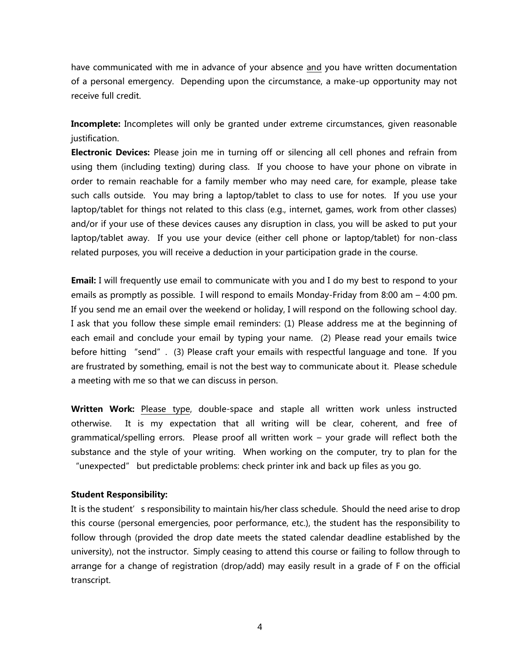have communicated with me in advance of your absence and you have written documentation of a personal emergency. Depending upon the circumstance, a make-up opportunity may not receive full credit.

**Incomplete:** Incompletes will only be granted under extreme circumstances, given reasonable justification.

**Electronic Devices:** Please join me in turning off or silencing all cell phones and refrain from using them (including texting) during class. If you choose to have your phone on vibrate in order to remain reachable for a family member who may need care, for example, please take such calls outside. You may bring a laptop/tablet to class to use for notes. If you use your laptop/tablet for things not related to this class (e.g., internet, games, work from other classes) and/or if your use of these devices causes any disruption in class, you will be asked to put your laptop/tablet away. If you use your device (either cell phone or laptop/tablet) for non-class related purposes, you will receive a deduction in your participation grade in the course.

**Email:** I will frequently use email to communicate with you and I do my best to respond to your emails as promptly as possible. I will respond to emails Monday-Friday from 8:00 am – 4:00 pm. If you send me an email over the weekend or holiday, I will respond on the following school day. I ask that you follow these simple email reminders: (1) Please address me at the beginning of each email and conclude your email by typing your name. (2) Please read your emails twice before hitting "send". (3) Please craft your emails with respectful language and tone. If you are frustrated by something, email is not the best way to communicate about it. Please schedule a meeting with me so that we can discuss in person.

**Written Work:** Please type, double-space and staple all written work unless instructed otherwise.It is my expectation that all writing will be clear, coherent, and free of grammatical/spelling errors. Please proof all written work – your grade will reflect both the substance and the style of your writing. When working on the computer, try to plan for the "unexpected" but predictable problems: check printer ink and back up files as you go.

#### **Student Responsibility:**

It is the student's responsibility to maintain his/her class schedule. Should the need arise to drop this course (personal emergencies, poor performance, etc.), the student has the responsibility to follow through (provided the drop date meets the stated calendar deadline established by the university), not the instructor. Simply ceasing to attend this course or failing to follow through to arrange for a change of registration (drop/add) may easily result in a grade of F on the official transcript.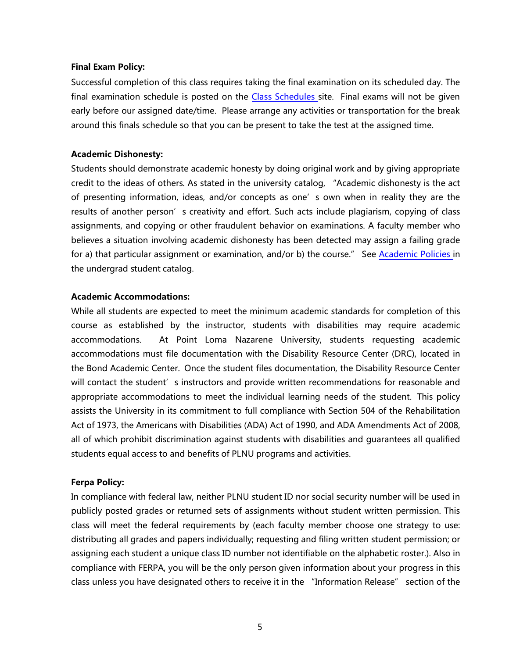#### **Final Exam Policy:**

Successful completion of this class requires taking the final examination on its scheduled day. The final examination schedule is posted on the Class [Schedules](http://www.pointloma.edu/experience/academics/class-schedules) site. Final exams will not be given early before our assigned date/time. Please arrange any activities or transportation for the break around this finals schedule so that you can be present to take the test at the assigned time.

## **Academic Dishonesty:**

Students should demonstrate academic honesty by doing original work and by giving appropriate credit to the ideas of others. As stated in the university catalog, "Academic dishonesty is the act of presenting information, ideas, and/or concepts as one's own when in reality they are the results of another person's creativity and effort. Such acts include plagiarism, copying of class assignments, and copying or other fraudulent behavior on examinations. A faculty member who believes a situation involving academic dishonesty has been detected may assign a failing grade for a) that particular assignment or examination, and/or b) the course." See [Academic](http://www.pointloma.edu/experience/academics/catalogs/undergraduate-catalog/point-loma-education/academic-policies) Policies in the undergrad student catalog.

## **Academic Accommodations:**

While all students are expected to meet the minimum academic standards for completion of this course as established by the instructor, students with disabilities may require academic accommodations. At Point Loma Nazarene University, students requesting academic accommodations must file documentation with the Disability Resource Center (DRC), located in the Bond Academic Center. Once the student files documentation, the Disability Resource Center will contact the student's instructors and provide written recommendations for reasonable and appropriate accommodations to meet the individual learning needs of the student. This policy assists the University in its commitment to full compliance with Section 504 of the Rehabilitation Act of 1973, the Americans with Disabilities (ADA) Act of 1990, and ADA Amendments Act of 2008, all of which prohibit discrimination against students with disabilities and guarantees all qualified students equal access to and benefits of PLNU programs and activities.

## **Ferpa Policy:**

In compliance with federal law, neither PLNU student ID nor social security number will be used in publicly posted grades or returned sets of assignments without student written permission. This class will meet the federal requirements by (each faculty member choose one strategy to use: distributing all grades and papers individually; requesting and filing written student permission; or assigning each student a unique class ID number not identifiable on the alphabetic roster.). Also in compliance with FERPA, you will be the only person given information about your progress in this class unless you have designated others to receive it in the "Information Release" section of the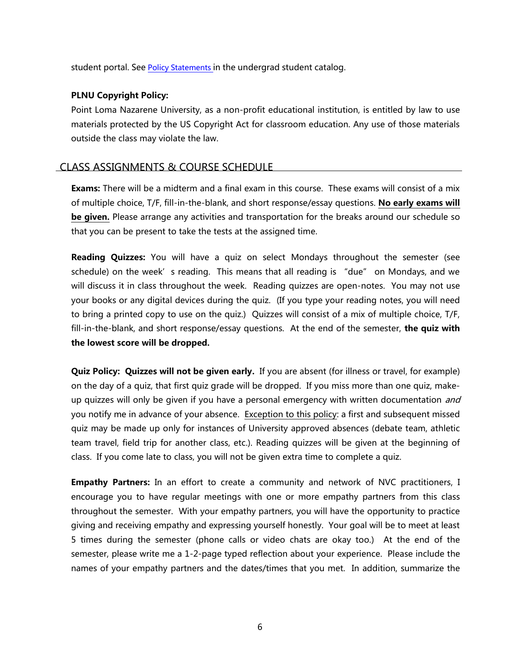student portal. See Policy [Statements](http://www.pointloma.edu/experience/academics/catalogs/undergraduate-catalog/policy-statements) in the undergrad student catalog.

## **PLNU Copyright Policy:**

Point Loma Nazarene University, as a non-profit educational institution, is entitled by law to use materials protected by the US Copyright Act for classroom education. Any use of those materials outside the class may violate the law.

## CLASS ASSIGNMENTS & COURSE SCHEDULE

**Exams:** There will be a midterm and a final exam in this course. These exams will consist of a mix of multiple choice, T/F, fill-in-the-blank, and short response/essay questions. **No early exams will be given.** Please arrange any activities and transportation for the breaks around our schedule so that you can be present to take the tests at the assigned time.

**Reading Quizzes:** You will have a quiz on select Mondays throughout the semester (see schedule) on the week's reading. This means that all reading is "due" on Mondays, and we will discuss it in class throughout the week. Reading quizzes are open-notes. You may not use your books or any digital devices during the quiz. (If you type your reading notes, you will need to bring a printed copy to use on the quiz.) Quizzes will consist of a mix of multiple choice, T/F, fill-in-the-blank, and short response/essay questions. At the end of the semester, **the quiz with the lowest score will be dropped.**

**Quiz Policy: Quizzes will not be given early.** If you are absent (for illness or travel, for example) on the day of a quiz, that first quiz grade will be dropped. If you miss more than one quiz, makeup quizzes will only be given if you have a personal emergency with written documentation and you notify me in advance of your absence. Exception to this policy: a first and subsequent missed quiz may be made up only for instances of University approved absences (debate team, athletic team travel, field trip for another class, etc.). Reading quizzes will be given at the beginning of class. If you come late to class, you will not be given extra time to complete a quiz.

**Empathy Partners:** In an effort to create a community and network of NVC practitioners, I encourage you to have regular meetings with one or more empathy partners from this class throughout the semester. With your empathy partners, you will have the opportunity to practice giving and receiving empathy and expressing yourself honestly. Your goal will be to meet at least 5 times during the semester (phone calls or video chats are okay too.) At the end of the semester, please write me a 1-2-page typed reflection about your experience. Please include the names of your empathy partners and the dates/times that you met. In addition, summarize the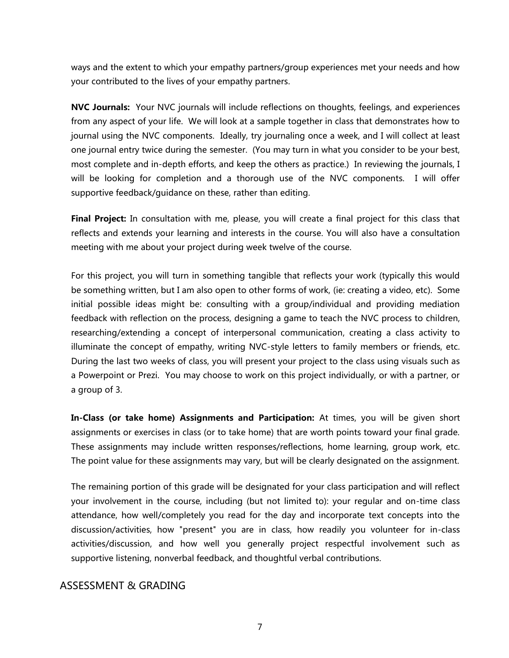ways and the extent to which your empathy partners/group experiences met your needs and how your contributed to the lives of your empathy partners.

**NVC Journals:** Your NVC journals will include reflections on thoughts, feelings, and experiences from any aspect of your life. We will look at a sample together in class that demonstrates how to journal using the NVC components. Ideally, try journaling once a week, and I will collect at least one journal entry twice during the semester. (You may turn in what you consider to be your best, most complete and in-depth efforts, and keep the others as practice.) In reviewing the journals, I will be looking for completion and a thorough use of the NVC components. I will offer supportive feedback/guidance on these, rather than editing.

**Final Project:** In consultation with me, please, you will create a final project for this class that reflects and extends your learning and interests in the course. You will also have a consultation meeting with me about your project during week twelve of the course.

For this project, you will turn in something tangible that reflects your work (typically this would be something written, but I am also open to other forms of work, (ie: creating a video, etc). Some initial possible ideas might be: consulting with a group/individual and providing mediation feedback with reflection on the process, designing a game to teach the NVC process to children, researching/extending a concept of interpersonal communication, creating a class activity to illuminate the concept of empathy, writing NVC-style letters to family members or friends, etc. During the last two weeks of class, you will present your project to the class using visuals such as a Powerpoint or Prezi. You may choose to work on this project individually, or with a partner, or a group of 3.

**In-Class (or take home) Assignments and Participation:** At times, you will be given short assignments or exercises in class (or to take home) that are worth points toward your final grade. These assignments may include written responses/reflections, home learning, group work, etc. The point value for these assignments may vary, but will be clearly designated on the assignment.

The remaining portion of this grade will be designated for your class participation and will reflect your involvement in the course, including (but not limited to): your regular and on-time class attendance, how well/completely you read for the day and incorporate text concepts into the discussion/activities, how "present" you are in class, how readily you volunteer for in-class activities/discussion, and how well you generally project respectful involvement such as supportive listening, nonverbal feedback, and thoughtful verbal contributions.

# ASSESSMENT & GRADING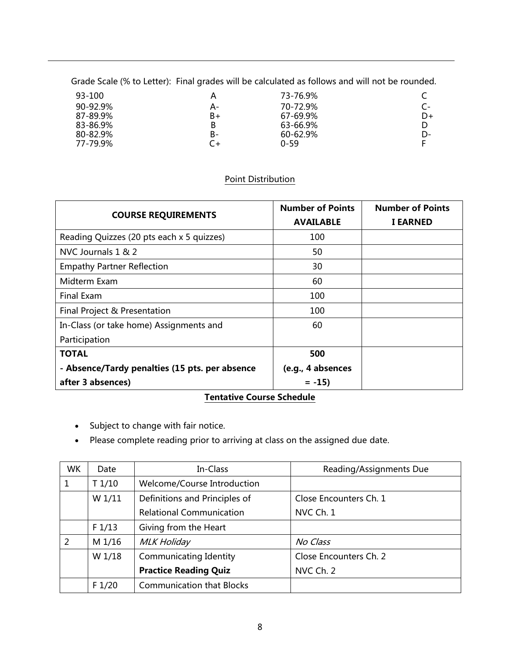Grade Scale (% to Letter): Final grades will be calculated as follows and will not be rounded.

| 93-100   | А  | 73-76.9% |    |
|----------|----|----------|----|
| 90-92.9% | A- | 70-72.9% |    |
| 87-89.9% | B+ | 67-69.9% | D+ |
| 83-86.9% | В  | 63-66.9% |    |
| 80-82.9% | B- | 60-62.9% | D- |
| 77-79.9% | C+ | $0 - 59$ |    |

## Point Distribution

| <b>COURSE REQUIREMENTS</b>                     | <b>Number of Points</b><br><b>AVAILABLE</b> | <b>Number of Points</b><br><b>I EARNED</b> |
|------------------------------------------------|---------------------------------------------|--------------------------------------------|
| Reading Quizzes (20 pts each x 5 quizzes)      | 100                                         |                                            |
| NVC Journals 1 & 2                             | 50                                          |                                            |
| <b>Empathy Partner Reflection</b>              | 30                                          |                                            |
| Midterm Exam                                   | 60                                          |                                            |
| <b>Final Exam</b>                              | 100                                         |                                            |
| Final Project & Presentation                   | 100                                         |                                            |
| In-Class (or take home) Assignments and        | 60                                          |                                            |
| Participation                                  |                                             |                                            |
| <b>TOTAL</b>                                   | 500                                         |                                            |
| - Absence/Tardy penalties (15 pts. per absence | (e.g., 4 absences                           |                                            |
| after 3 absences)                              | $= -15$                                     |                                            |

# **Tentative Course Schedule**

- Subject to change with fair notice.
- Please complete reading prior to arriving at class on the assigned due date.

| <b>WK</b>      | Date   | In-Class                           | Reading/Assignments Due |
|----------------|--------|------------------------------------|-------------------------|
| 1              | T1/10  | <b>Welcome/Course Introduction</b> |                         |
|                | W 1/11 | Definitions and Principles of      | Close Encounters Ch. 1  |
|                |        | <b>Relational Communication</b>    | NVC Ch. 1               |
|                | F1/13  | Giving from the Heart              |                         |
| $\overline{2}$ | M 1/16 | <b>MLK Holiday</b>                 | No Class                |
|                | W 1/18 | Communicating Identity             | Close Encounters Ch. 2  |
|                |        | <b>Practice Reading Quiz</b>       | NVC Ch. 2               |
|                | F 1/20 | <b>Communication that Blocks</b>   |                         |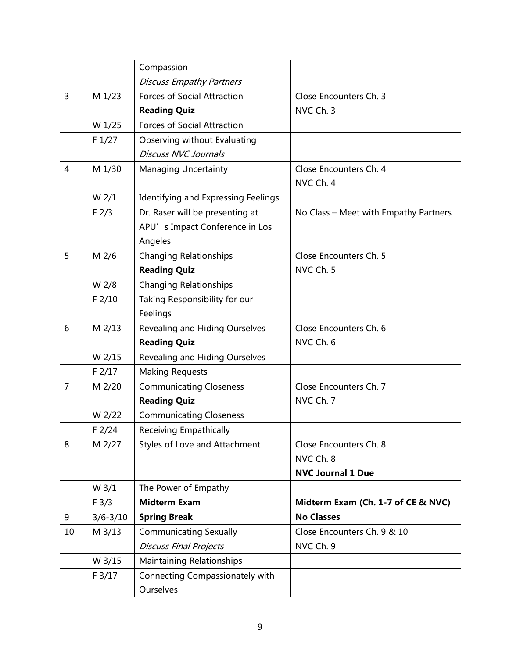|    |                  | Compassion                                 |                                       |
|----|------------------|--------------------------------------------|---------------------------------------|
|    |                  | <b>Discuss Empathy Partners</b>            |                                       |
| 3  | M 1/23           | <b>Forces of Social Attraction</b>         | Close Encounters Ch. 3                |
|    |                  | <b>Reading Quiz</b>                        | NVC Ch. 3                             |
|    | W 1/25           | <b>Forces of Social Attraction</b>         |                                       |
|    | F1/27            | Observing without Evaluating               |                                       |
|    |                  | <b>Discuss NVC Journals</b>                |                                       |
| 4  | M 1/30           | <b>Managing Uncertainty</b>                | Close Encounters Ch. 4                |
|    |                  |                                            | NVC Ch. 4                             |
|    | W <sub>2/1</sub> | <b>Identifying and Expressing Feelings</b> |                                       |
|    | F <sub>2/3</sub> | Dr. Raser will be presenting at            | No Class - Meet with Empathy Partners |
|    |                  | APU's Impact Conference in Los             |                                       |
|    |                  | Angeles                                    |                                       |
| 5  | M 2/6            | <b>Changing Relationships</b>              | Close Encounters Ch. 5                |
|    |                  | <b>Reading Quiz</b>                        | NVC Ch. 5                             |
|    | W 2/8            | <b>Changing Relationships</b>              |                                       |
|    | $F$ 2/10         | Taking Responsibility for our              |                                       |
|    |                  | Feelings                                   |                                       |
| 6  | M 2/13           | <b>Revealing and Hiding Ourselves</b>      | Close Encounters Ch. 6                |
|    |                  | <b>Reading Quiz</b>                        | NVC Ch. 6                             |
|    | W 2/15           | Revealing and Hiding Ourselves             |                                       |
|    | $F$ 2/17         | <b>Making Requests</b>                     |                                       |
| 7  | M 2/20           | <b>Communicating Closeness</b>             | Close Encounters Ch. 7                |
|    |                  | <b>Reading Quiz</b>                        | NVC Ch. 7                             |
|    | W 2/22           | <b>Communicating Closeness</b>             |                                       |
|    | $F$ 2/24         | <b>Receiving Empathically</b>              |                                       |
| 8  | M 2/27           | Styles of Love and Attachment              | Close Encounters Ch. 8                |
|    |                  |                                            | NVC Ch. 8                             |
|    |                  |                                            | <b>NVC Journal 1 Due</b>              |
|    | W <sub>3/1</sub> | The Power of Empathy                       |                                       |
|    | F 3/3            | <b>Midterm Exam</b>                        | Midterm Exam (Ch. 1-7 of CE & NVC)    |
| 9  | $3/6 - 3/10$     | <b>Spring Break</b>                        | <b>No Classes</b>                     |
| 10 | M 3/13           | <b>Communicating Sexually</b>              | Close Encounters Ch. 9 & 10           |
|    |                  | <b>Discuss Final Projects</b>              | NVC Ch. 9                             |
|    | W 3/15           | <b>Maintaining Relationships</b>           |                                       |
|    | F 3/17           | Connecting Compassionately with            |                                       |
|    |                  | <b>Ourselves</b>                           |                                       |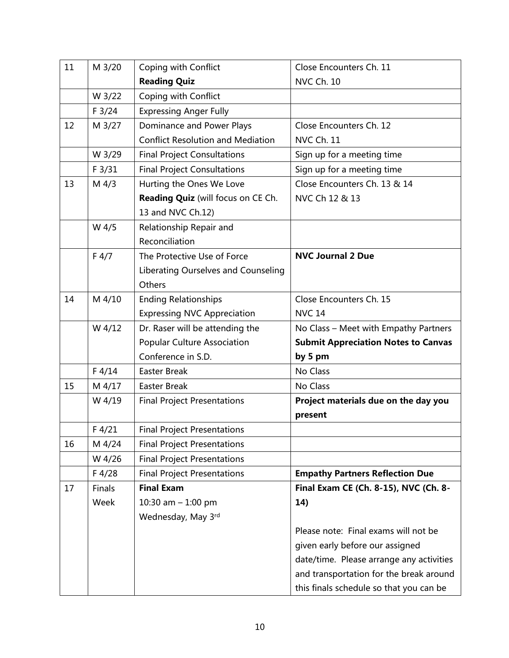| 11 | M 3/20  | Coping with Conflict                     | Close Encounters Ch. 11                    |
|----|---------|------------------------------------------|--------------------------------------------|
|    |         | <b>Reading Quiz</b>                      | <b>NVC Ch. 10</b>                          |
|    | W 3/22  | Coping with Conflict                     |                                            |
|    | F 3/24  | <b>Expressing Anger Fully</b>            |                                            |
| 12 | M 3/27  | Dominance and Power Plays                | Close Encounters Ch. 12                    |
|    |         | <b>Conflict Resolution and Mediation</b> | <b>NVC Ch. 11</b>                          |
|    | W 3/29  | <b>Final Project Consultations</b>       | Sign up for a meeting time                 |
|    | F 3/31  | <b>Final Project Consultations</b>       | Sign up for a meeting time                 |
| 13 | $M$ 4/3 | Hurting the Ones We Love                 | Close Encounters Ch. 13 & 14               |
|    |         | Reading Quiz (will focus on CE Ch.       | NVC Ch 12 & 13                             |
|    |         | 13 and NVC Ch.12)                        |                                            |
|    | W 4/5   | Relationship Repair and                  |                                            |
|    |         | Reconciliation                           |                                            |
|    | F 4/7   | The Protective Use of Force              | <b>NVC Journal 2 Due</b>                   |
|    |         | Liberating Ourselves and Counseling      |                                            |
|    |         | Others                                   |                                            |
| 14 | M 4/10  | <b>Ending Relationships</b>              | Close Encounters Ch. 15                    |
|    |         | <b>Expressing NVC Appreciation</b>       | <b>NVC 14</b>                              |
|    | W 4/12  | Dr. Raser will be attending the          | No Class - Meet with Empathy Partners      |
|    |         | <b>Popular Culture Association</b>       | <b>Submit Appreciation Notes to Canvas</b> |
|    |         | Conference in S.D.                       | by 5 pm                                    |
|    | F 4/14  | <b>Easter Break</b>                      | No Class                                   |
| 15 | M 4/17  | <b>Easter Break</b>                      | No Class                                   |
|    | W 4/19  | <b>Final Project Presentations</b>       | Project materials due on the day you       |
|    |         |                                          | present                                    |
|    | F 4/21  | <b>Final Project Presentations</b>       |                                            |
| 16 | M 4/24  | <b>Final Project Presentations</b>       |                                            |
|    | W 4/26  | <b>Final Project Presentations</b>       |                                            |
|    | F4/28   | <b>Final Project Presentations</b>       | <b>Empathy Partners Reflection Due</b>     |
| 17 | Finals  | <b>Final Exam</b>                        | Final Exam CE (Ch. 8-15), NVC (Ch. 8-      |
|    | Week    | 10:30 am $- 1:00$ pm                     | 14)                                        |
|    |         | Wednesday, May 3rd                       |                                            |
|    |         |                                          | Please note: Final exams will not be       |
|    |         |                                          | given early before our assigned            |
|    |         |                                          | date/time. Please arrange any activities   |
|    |         |                                          | and transportation for the break around    |
|    |         |                                          | this finals schedule so that you can be    |